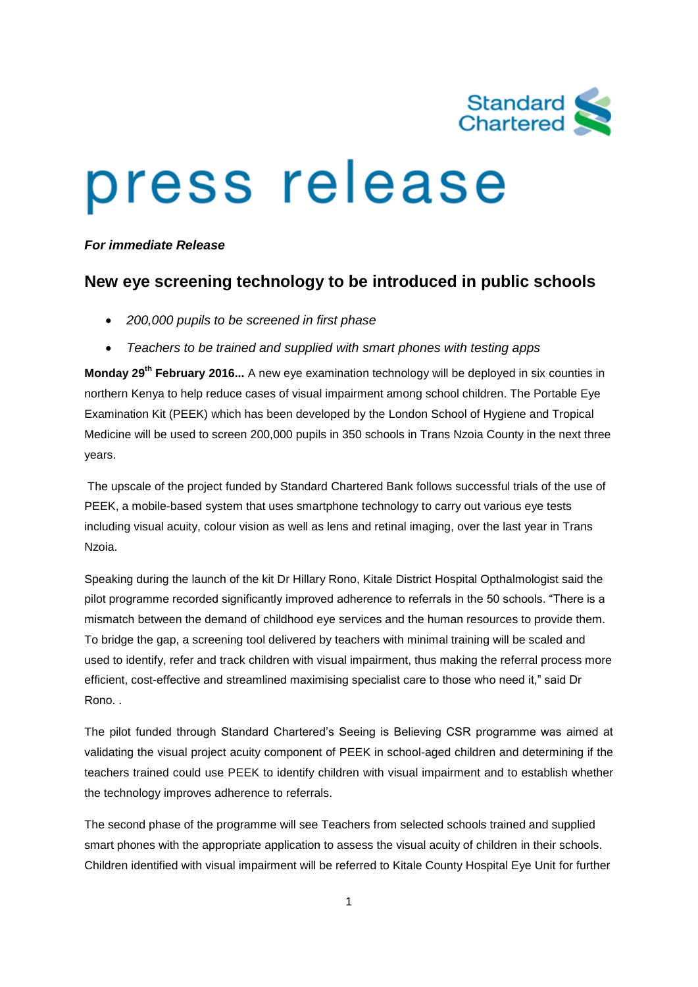

## press release

*For immediate Release*

## **New eye screening technology to be introduced in public schools**

- *200,000 pupils to be screened in first phase*
- *Teachers to be trained and supplied with smart phones with testing apps*

**Monday 29th February 2016...** A new eye examination technology will be deployed in six counties in northern Kenya to help reduce cases of visual impairment among school children. The Portable Eye Examination Kit (PEEK) which has been developed by the London School of Hygiene and Tropical Medicine will be used to screen 200,000 pupils in 350 schools in Trans Nzoia County in the next three years.

The upscale of the project funded by Standard Chartered Bank follows successful trials of the use of PEEK, a mobile-based system that uses smartphone technology to carry out various eye tests including visual acuity, colour vision as well as lens and retinal imaging, over the last year in Trans Nzoia.

Speaking during the launch of the kit Dr Hillary Rono, Kitale District Hospital Opthalmologist said the pilot programme recorded significantly improved adherence to referrals in the 50 schools. "There is a mismatch between the demand of childhood eye services and the human resources to provide them. To bridge the gap, a screening tool delivered by teachers with minimal training will be scaled and used to identify, refer and track children with visual impairment, thus making the referral process more efficient, cost-effective and streamlined maximising specialist care to those who need it," said Dr Rono. .

The pilot funded through Standard Chartered's Seeing is Believing CSR programme was aimed at validating the visual project acuity component of PEEK in school-aged children and determining if the teachers trained could use PEEK to identify children with visual impairment and to establish whether the technology improves adherence to referrals.

The second phase of the programme will see Teachers from selected schools trained and supplied smart phones with the appropriate application to assess the visual acuity of children in their schools. Children identified with visual impairment will be referred to Kitale County Hospital Eye Unit for further